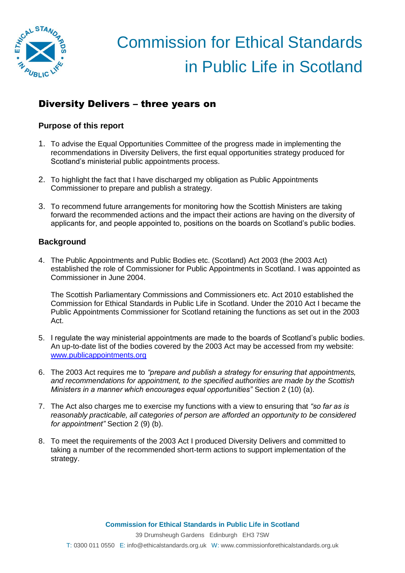

## Diversity Delivers – three years on

### **Purpose of this report**

- 1. To advise the Equal Opportunities Committee of the progress made in implementing the recommendations in Diversity Delivers, the first equal opportunities strategy produced for Scotland's ministerial public appointments process.
- 2. To highlight the fact that I have discharged my obligation as Public Appointments Commissioner to prepare and publish a strategy.
- 3. To recommend future arrangements for monitoring how the Scottish Ministers are taking forward the recommended actions and the impact their actions are having on the diversity of applicants for, and people appointed to, positions on the boards on Scotland's public bodies.

## **Background**

4. The Public Appointments and Public Bodies etc. (Scotland) Act 2003 (the 2003 Act) established the role of Commissioner for Public Appointments in Scotland. I was appointed as Commissioner in June 2004.

The Scottish Parliamentary Commissions and Commissioners etc. Act 2010 established the Commission for Ethical Standards in Public Life in Scotland. Under the 2010 Act I became the Public Appointments Commissioner for Scotland retaining the functions as set out in the 2003 Act.

- 5. I regulate the way ministerial appointments are made to the boards of Scotland's public bodies. An up-to-date list of the bodies covered by the 2003 Act may be accessed from my website: [www.publicappointments.org](http://www.publicappointments.org/)
- 6. The 2003 Act requires me to *"prepare and publish a strategy for ensuring that appointments, and recommendations for appointment, to the specified authorities are made by the Scottish Ministers in a manner which encourages equal opportunities"* Section 2 (10) (a).
- 7. The Act also charges me to exercise my functions with a view to ensuring that *"so far as is reasonably practicable, all categories of person are afforded an opportunity to be considered for appointment"* Section 2 (9) (b).
- 8. To meet the requirements of the 2003 Act I produced Diversity Delivers and committed to taking a number of the recommended short-term actions to support implementation of the strategy.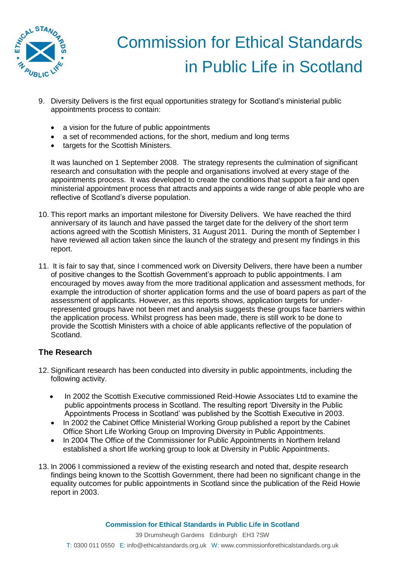

- 9. Diversity Delivers is the first equal opportunities strategy for Scotland's ministerial public appointments process to contain:
	- a vision for the future of public appointments
	- a set of recommended actions, for the short, medium and long terms
	- targets for the Scottish Ministers.

It was launched on 1 September 2008. The strategy represents the culmination of significant research and consultation with the people and organisations involved at every stage of the appointments process. It was developed to create the conditions that support a fair and open ministerial appointment process that attracts and appoints a wide range of able people who are reflective of Scotland's diverse population.

- 10. This report marks an important milestone for Diversity Delivers. We have reached the third anniversary of its launch and have passed the target date for the delivery of the short term actions agreed with the Scottish Ministers, 31 August 2011. During the month of September I have reviewed all action taken since the launch of the strategy and present my findings in this report.
- 11. It is fair to say that, since I commenced work on Diversity Delivers, there have been a number of positive changes to the Scottish Government's approach to public appointments. I am encouraged by moves away from the more traditional application and assessment methods, for example the introduction of shorter application forms and the use of board papers as part of the assessment of applicants. However, as this reports shows, application targets for underrepresented groups have not been met and analysis suggests these groups face barriers within the application process. Whilst progress has been made, there is still work to be done to provide the Scottish Ministers with a choice of able applicants reflective of the population of Scotland.

## **The Research**

- 12. Significant research has been conducted into diversity in public appointments, including the following activity.
	- In 2002 the Scottish Executive commissioned Reid-Howie Associates Ltd to examine the public appointments process in Scotland. The resulting report 'Diversity in the Public Appointments Process in Scotland' was published by the Scottish Executive in 2003.
	- In 2002 the Cabinet Office Ministerial Working Group published a report by the Cabinet Office Short Life Working Group on Improving Diversity in Public Appointments.
	- In 2004 The Office of the Commissioner for Public Appointments in Northern Ireland established a short life working group to look at Diversity in Public Appointments.
- 13. In 2006 I commissioned a review of the existing research and noted that, despite research findings being known to the Scottish Government, there had been no significant change in the equality outcomes for public appointments in Scotland since the publication of the Reid Howie report in 2003.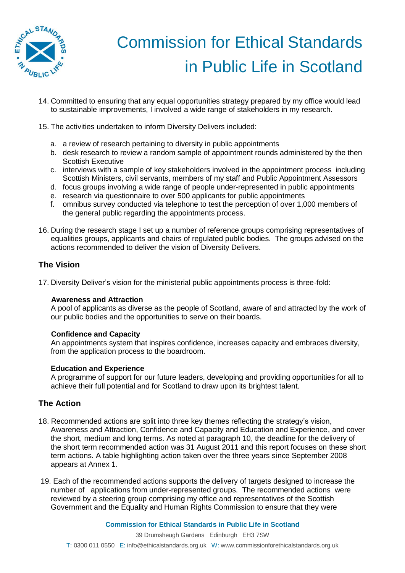

- 14. Committed to ensuring that any equal opportunities strategy prepared by my office would lead to sustainable improvements, I involved a wide range of stakeholders in my research.
- 15. The activities undertaken to inform Diversity Delivers included:
	- a. a review of research pertaining to diversity in public appointments
	- b. desk research to review a random sample of appointment rounds administered by the then Scottish Executive
	- c. interviews with a sample of key stakeholders involved in the appointment process including Scottish Ministers, civil servants, members of my staff and Public Appointment Assessors
	- d. focus groups involving a wide range of people under-represented in public appointments
	- e. research via questionnaire to over 500 applicants for public appointments
	- f. omnibus survey conducted via telephone to test the perception of over 1,000 members of the general public regarding the appointments process.
- 16. During the research stage I set up a number of reference groups comprising representatives of equalities groups, applicants and chairs of regulated public bodies. The groups advised on the actions recommended to deliver the vision of Diversity Delivers.

### **The Vision**

17. Diversity Deliver's vision for the ministerial public appointments process is three-fold:

#### **Awareness and Attraction**

A pool of applicants as diverse as the people of Scotland, aware of and attracted by the work of our public bodies and the opportunities to serve on their boards.

#### **Confidence and Capacity**

An appointments system that inspires confidence, increases capacity and embraces diversity, from the application process to the boardroom.

#### **Education and Experience**

A programme of support for our future leaders, developing and providing opportunities for all to achieve their full potential and for Scotland to draw upon its brightest talent.

### **The Action**

- 18. Recommended actions are split into three key themes reflecting the strategy's vision, Awareness and Attraction, Confidence and Capacity and Education and Experience, and cover the short, medium and long terms. As noted at paragraph 10, the deadline for the delivery of the short term recommended action was 31 August 2011 and this report focuses on these short term actions. A table highlighting action taken over the three years since September 2008 appears at Annex 1.
- 19. Each of the recommended actions supports the delivery of targets designed to increase the number of applications from under-represented groups. The recommended actions were reviewed by a steering group comprising my office and representatives of the Scottish Government and the Equality and Human Rights Commission to ensure that they were

#### **Commission for Ethical Standards in Public Life in Scotland**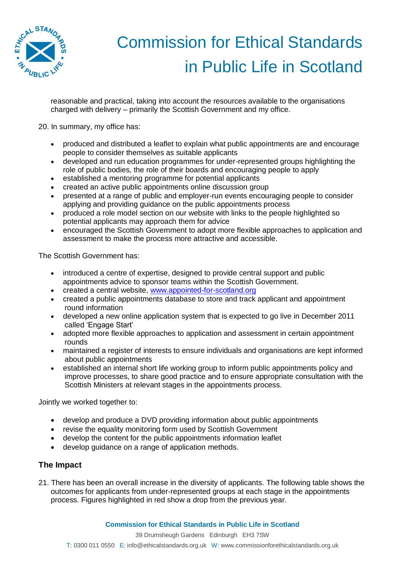

reasonable and practical, taking into account the resources available to the organisations charged with delivery – primarily the Scottish Government and my office.

20. In summary, my office has:

- produced and distributed a leaflet to explain what public appointments are and encourage people to consider themselves as suitable applicants
- developed and run education programmes for under-represented groups highlighting the role of public bodies, the role of their boards and encouraging people to apply
- established a mentoring programme for potential applicants
- created an active public appointments online discussion group
- presented at a range of public and employer-run events encouraging people to consider applying and providing guidance on the public appointments process
- produced a role model section on our website with links to the people highlighted so potential applicants may approach them for advice
- encouraged the Scottish Government to adopt more flexible approaches to application and assessment to make the process more attractive and accessible.

The Scottish Government has:

- introduced a centre of expertise, designed to provide central support and public appointments advice to sponsor teams within the Scottish Government.
- created a central website, [www.appointed-for-scotland.org](http://www.appointed-for-scotland.org/)
- created a public appointments database to store and track applicant and appointment round information
- developed a new online application system that is expected to go live in December 2011 called 'Engage Start'
- adopted more flexible approaches to application and assessment in certain appointment rounds
- maintained a register of interests to ensure individuals and organisations are kept informed about public appointments
- established an internal short life working group to inform public appointments policy and improve processes, to share good practice and to ensure appropriate consultation with the Scottish Ministers at relevant stages in the appointments process.

Jointly we worked together to:

- develop and produce a DVD providing information about public appointments
- revise the equality monitoring form used by Scottish Government
- develop the content for the public appointments information leaflet
- develop guidance on a range of application methods.

### **The Impact**

21. There has been an overall increase in the diversity of applicants. The following table shows the outcomes for applicants from under-represented groups at each stage in the appointments process. Figures highlighted in red show a drop from the previous year.

**Commission for Ethical Standards in Public Life in Scotland**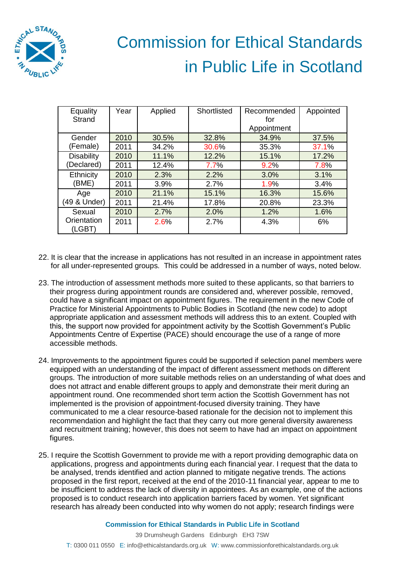

| Equality              | Year | Applied | Shortlisted | Recommended | Appointed |
|-----------------------|------|---------|-------------|-------------|-----------|
| <b>Strand</b>         |      |         |             | for         |           |
|                       |      |         |             | Appointment |           |
| Gender                | 2010 | 30.5%   | 32.8%       | 34.9%       | 37.5%     |
| (Female)              | 2011 | 34.2%   | 30.6%       | 35.3%       | 37.1%     |
| <b>Disability</b>     | 2010 | 11.1%   | 12.2%       | 15.1%       | 17.2%     |
| (Declared)            | 2011 | 12.4%   | 7.7%        | 9.2%        | 7.8%      |
| Ethnicity             | 2010 | 2.3%    | 2.2%        | 3.0%        | 3.1%      |
| (BME)                 | 2011 | 3.9%    | 2.7%        | 1.9%        | 3.4%      |
| Age                   | 2010 | 21.1%   | 15.1%       | 16.3%       | 15.6%     |
| (49 & Under)          | 2011 | 21.4%   | 17.8%       | 20.8%       | 23.3%     |
| Sexual                | 2010 | 2.7%    | 2.0%        | 1.2%        | 1.6%      |
| Orientation<br>(LGBT) | 2011 | 2.6%    | 2.7%        | 4.3%        | 6%        |

- 22. It is clear that the increase in applications has not resulted in an increase in appointment rates for all under-represented groups. This could be addressed in a number of ways, noted below.
- 23. The introduction of assessment methods more suited to these applicants, so that barriers to their progress during appointment rounds are considered and, wherever possible, removed, could have a significant impact on appointment figures. The requirement in the new Code of Practice for Ministerial Appointments to Public Bodies in Scotland (the new code) to adopt appropriate application and assessment methods will address this to an extent. Coupled with this, the support now provided for appointment activity by the Scottish Government's Public Appointments Centre of Expertise (PACE) should encourage the use of a range of more accessible methods.
- 24. Improvements to the appointment figures could be supported if selection panel members were equipped with an understanding of the impact of different assessment methods on different groups. The introduction of more suitable methods relies on an understanding of what does and does not attract and enable different groups to apply and demonstrate their merit during an appointment round. One recommended short term action the Scottish Government has not implemented is the provision of appointment-focused diversity training. They have communicated to me a clear resource-based rationale for the decision not to implement this recommendation and highlight the fact that they carry out more general diversity awareness and recruitment training; however, this does not seem to have had an impact on appointment figures.
- 25. I require the Scottish Government to provide me with a report providing demographic data on applications, progress and appointments during each financial year. I request that the data to be analysed, trends identified and action planned to mitigate negative trends. The actions proposed in the first report, received at the end of the 2010-11 financial year, appear to me to be insufficient to address the lack of diversity in appointees. As an example, one of the actions proposed is to conduct research into application barriers faced by women. Yet significant research has already been conducted into why women do not apply; research findings were

**Commission for Ethical Standards in Public Life in Scotland**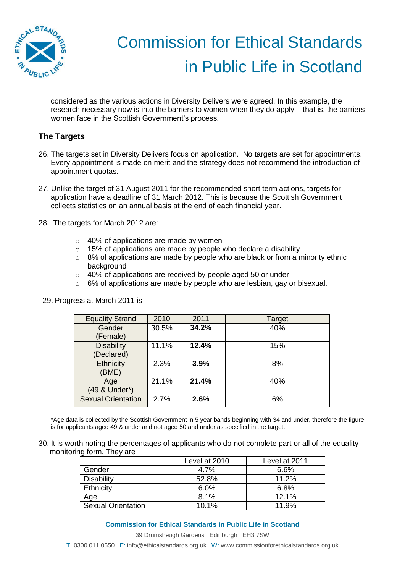

considered as the various actions in Diversity Delivers were agreed. In this example, the research necessary now is into the barriers to women when they do apply – that is, the barriers women face in the Scottish Government's process.

## **The Targets**

- 26. The targets set in Diversity Delivers focus on application. No targets are set for appointments. Every appointment is made on merit and the strategy does not recommend the introduction of appointment quotas.
- 27. Unlike the target of 31 August 2011 for the recommended short term actions, targets for application have a deadline of 31 March 2012. This is because the Scottish Government collects statistics on an annual basis at the end of each financial year.
- 28. The targets for March 2012 are:
	- $\circ$  40% of applications are made by women
	- $\circ$  15% of applications are made by people who declare a disability
	- o 8% of applications are made by people who are black or from a minority ethnic background
	- o 40% of applications are received by people aged 50 or under
	- $\circ$  6% of applications are made by people who are lesbian, gay or bisexual.

| <b>Equality Strand</b>    | 2010  | 2011  | Target |
|---------------------------|-------|-------|--------|
| Gender                    | 30.5% | 34.2% | 40%    |
| (Female)                  |       |       |        |
| <b>Disability</b>         | 11.1% | 12.4% | 15%    |
| (Declared)                |       |       |        |
| Ethnicity                 | 2.3%  | 3.9%  | 8%     |
| (BME)                     |       |       |        |
| Age                       | 21.1% | 21.4% | 40%    |
| (49 & Under*)             |       |       |        |
| <b>Sexual Orientation</b> | 2.7%  | 2.6%  | 6%     |
|                           |       |       |        |

29. Progress at March 2011 is

\*Age data is collected by the Scottish Government in 5 year bands beginning with 34 and under, therefore the figure is for applicants aged 49 & under and not aged 50 and under as specified in the target.

30. It is worth noting the percentages of applicants who do not complete part or all of the equality monitoring form. They are

|                           | Level at 2010 | Level at 2011 |
|---------------------------|---------------|---------------|
| Gender                    | 4.7%          | 6.6%          |
| <b>Disability</b>         | 52.8%         | 11.2%         |
| Ethnicity                 | 6.0%          | 6.8%          |
| Age                       | 8.1%          | 12.1%         |
| <b>Sexual Orientation</b> | 10.1%         | 11.9%         |

#### **Commission for Ethical Standards in Public Life in Scotland**

39 Drumsheugh Gardens Edinburgh EH3 7SW

T: 0300 011 0550 E: info@ethicalstandards.org.uk W: www.commissionforethicalstandards.org.uk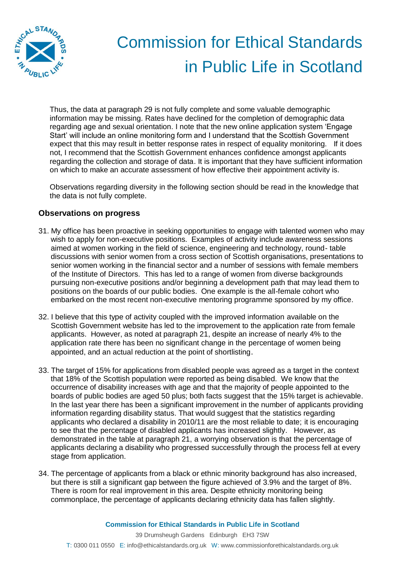

Thus, the data at paragraph 29 is not fully complete and some valuable demographic information may be missing. Rates have declined for the completion of demographic data regarding age and sexual orientation. I note that the new online application system 'Engage Start' will include an online monitoring form and I understand that the Scottish Government expect that this may result in better response rates in respect of equality monitoring. If it does not, I recommend that the Scottish Government enhances confidence amongst applicants regarding the collection and storage of data. It is important that they have sufficient information on which to make an accurate assessment of how effective their appointment activity is.

Observations regarding diversity in the following section should be read in the knowledge that the data is not fully complete.

### **Observations on progress**

- 31. My office has been proactive in seeking opportunities to engage with talented women who may wish to apply for non-executive positions. Examples of activity include awareness sessions aimed at women working in the field of science, engineering and technology, round- table discussions with senior women from a cross section of Scottish organisations, presentations to senior women working in the financial sector and a number of sessions with female members of the Institute of Directors. This has led to a range of women from diverse backgrounds pursuing non-executive positions and/or beginning a development path that may lead them to positions on the boards of our public bodies. One example is the all-female cohort who embarked on the most recent non-executive mentoring programme sponsored by my office.
- 32. I believe that this type of activity coupled with the improved information available on the Scottish Government website has led to the improvement to the application rate from female applicants. However, as noted at paragraph 21, despite an increase of nearly 4% to the application rate there has been no significant change in the percentage of women being appointed, and an actual reduction at the point of shortlisting.
- 33. The target of 15% for applications from disabled people was agreed as a target in the context that 18% of the Scottish population were reported as being disabled. We know that the occurrence of disability increases with age and that the majority of people appointed to the boards of public bodies are aged 50 plus; both facts suggest that the 15% target is achievable. In the last year there has been a significant improvement in the number of applicants providing information regarding disability status. That would suggest that the statistics regarding applicants who declared a disability in 2010/11 are the most reliable to date; it is encouraging to see that the percentage of disabled applicants has increased slightly. However, as demonstrated in the table at paragraph 21, a worrying observation is that the percentage of applicants declaring a disability who progressed successfully through the process fell at every stage from application.
- 34. The percentage of applicants from a black or ethnic minority background has also increased, but there is still a significant gap between the figure achieved of 3.9% and the target of 8%. There is room for real improvement in this area. Despite ethnicity monitoring being commonplace, the percentage of applicants declaring ethnicity data has fallen slightly.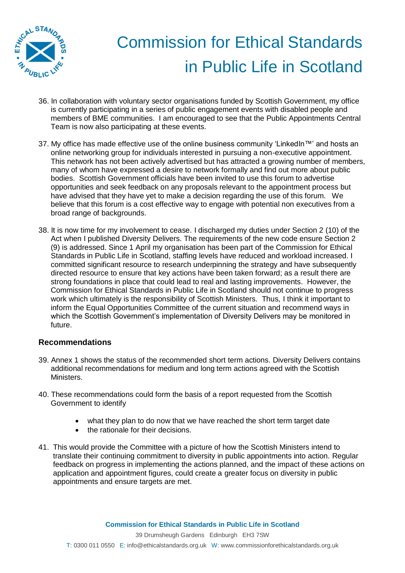

- 36. In collaboration with voluntary sector organisations funded by Scottish Government, my office is currently participating in a series of public engagement events with disabled people and members of BME communities. I am encouraged to see that the Public Appointments Central Team is now also participating at these events.
- 37. My office has made effective use of the online business community 'LinkedIn™' and hosts an online networking group for individuals interested in pursuing a non-executive appointment. This network has not been actively advertised but has attracted a growing number of members, many of whom have expressed a desire to network formally and find out more about public bodies. Scottish Government officials have been invited to use this forum to advertise opportunities and seek feedback on any proposals relevant to the appointment process but have advised that they have yet to make a decision regarding the use of this forum. We believe that this forum is a cost effective way to engage with potential non executives from a broad range of backgrounds.
- 38. It is now time for my involvement to cease. I discharged my duties under Section 2 (10) of the Act when I published Diversity Delivers. The requirements of the new code ensure Section 2 (9) is addressed. Since 1 April my organisation has been part of the Commission for Ethical Standards in Public Life in Scotland, staffing levels have reduced and workload increased. I committed significant resource to research underpinning the strategy and have subsequently directed resource to ensure that key actions have been taken forward; as a result there are strong foundations in place that could lead to real and lasting improvements. However, the Commission for Ethical Standards in Public Life in Scotland should not continue to progress work which ultimately is the responsibility of Scottish Ministers. Thus, I think it important to inform the Equal Opportunities Committee of the current situation and recommend ways in which the Scottish Government's implementation of Diversity Delivers may be monitored in future.

### **Recommendations**

- 39. Annex 1 shows the status of the recommended short term actions. Diversity Delivers contains additional recommendations for medium and long term actions agreed with the Scottish Ministers.
- 40. These recommendations could form the basis of a report requested from the Scottish Government to identify
	- what they plan to do now that we have reached the short term target date
	- the rationale for their decisions.
- 41. This would provide the Committee with a picture of how the Scottish Ministers intend to translate their continuing commitment to diversity in public appointments into action. Regular feedback on progress in implementing the actions planned, and the impact of these actions on application and appointment figures, could create a greater focus on diversity in public appointments and ensure targets are met.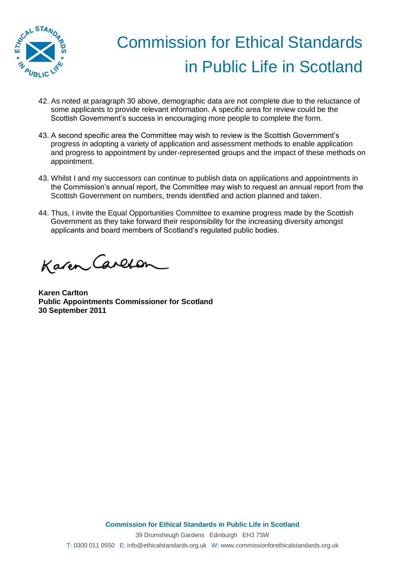

- 42. As noted at paragraph 30 above, demographic data are not complete due to the reluctance of some applicants to provide relevant information. A specific area for review could be the Scottish Government's success in encouraging more people to complete the form.
- 43. A second specific area the Committee may wish to review is the Scottish Government's progress in adopting a variety of application and assessment methods to enable application and progress to appointment by under-represented groups and the impact of these methods on appointment.
- 43. Whilst I and my successors can continue to publish data on applications and appointments in the Commission's annual report, the Committee may wish to request an annual report from the Scottish Government on numbers, trends identified and action planned and taken.
- 44. Thus, I invite the Equal Opportunities Committee to examine progress made by the Scottish Government as they take forward their responsibility for the increasing diversity amongst applicants and board members of Scotland's regulated public bodies.

Karen Carlon

**Karen Carlton Public Appointments Commissioner for Scotland 30 September 2011**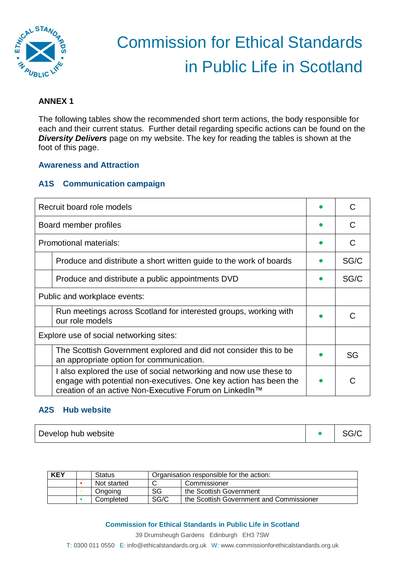

## **ANNEX 1**

The following tables show the recommended short term actions, the body responsible for each and their current status. Further detail regarding specific actions can be found on the *Diversity Delivers* page on my website. The key for reading the tables is shown at the foot of this page.

#### **Awareness and Attraction**

## **A1S Communication campaign**

| Recruit board role models                                                                                                                                                                        |                                                                    |      |
|--------------------------------------------------------------------------------------------------------------------------------------------------------------------------------------------------|--------------------------------------------------------------------|------|
|                                                                                                                                                                                                  | Board member profiles                                              | C    |
|                                                                                                                                                                                                  | Promotional materials:                                             |      |
|                                                                                                                                                                                                  | Produce and distribute a short written guide to the work of boards | SG/C |
|                                                                                                                                                                                                  | Produce and distribute a public appointments DVD                   | SG/C |
| Public and workplace events:                                                                                                                                                                     |                                                                    |      |
| Run meetings across Scotland for interested groups, working with<br>our role models                                                                                                              |                                                                    |      |
| Explore use of social networking sites:                                                                                                                                                          |                                                                    |      |
| The Scottish Government explored and did not consider this to be<br>an appropriate option for communication.                                                                                     |                                                                    | SG   |
| I also explored the use of social networking and now use these to<br>engage with potential non-executives. One key action has been the<br>creation of an active Non-Executive Forum on LinkedIn™ |                                                                    |      |

#### **A2S Hub website**

| <b>KEY</b> | Status      | Organisation responsible for the action: |                                          |  |
|------------|-------------|------------------------------------------|------------------------------------------|--|
|            | Not started |                                          | Commissioner                             |  |
|            | Ongoing     | SG                                       | the Scottish Government                  |  |
|            | Completed   | SG/C                                     | the Scottish Government and Commissioner |  |

#### **Commission for Ethical Standards in Public Life in Scotland**

39 Drumsheugh Gardens Edinburgh EH3 7SW T: 0300 011 0550 E: info@ethicalstandards.org.uk W: www.commissionforethicalstandards.org.uk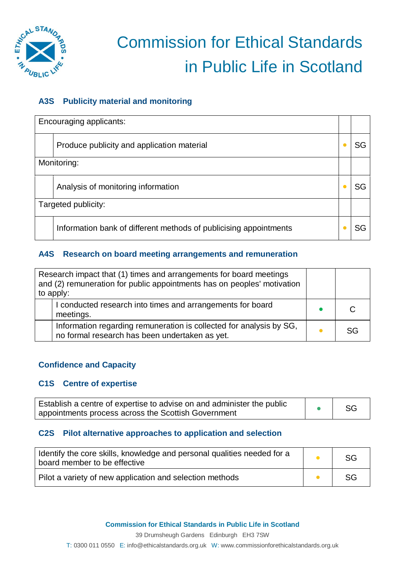

## **A3S Publicity material and monitoring**

|                     | Encouraging applicants:                                           |    |
|---------------------|-------------------------------------------------------------------|----|
|                     | Produce publicity and application material                        | SG |
| Monitoring:         |                                                                   |    |
|                     | Analysis of monitoring information                                | SG |
| Targeted publicity: |                                                                   |    |
|                     | Information bank of different methods of publicising appointments | SG |

### **A4S Research on board meeting arrangements and remuneration**

| Research impact that (1) times and arrangements for board meetings<br>and (2) remuneration for public appointments has on peoples' motivation<br>to apply: |    |
|------------------------------------------------------------------------------------------------------------------------------------------------------------|----|
| I conducted research into times and arrangements for board<br>meetings.                                                                                    |    |
| Information regarding remuneration is collected for analysis by SG,<br>no formal research has been undertaken as yet.                                      | SG |

## **Confidence and Capacity**

## **C1S Centre of expertise**

| Establish a centre of expertise to advise on and administer the public | -SC |
|------------------------------------------------------------------------|-----|
| appointments process across the Scottish Government                    |     |

## **C2S Pilot alternative approaches to application and selection**

| I dentify the core skills, knowledge and personal qualities needed for a<br>board member to be effective |  | SG |
|----------------------------------------------------------------------------------------------------------|--|----|
| Pilot a variety of new application and selection methods                                                 |  | SG |

39 Drumsheugh Gardens Edinburgh EH3 7SW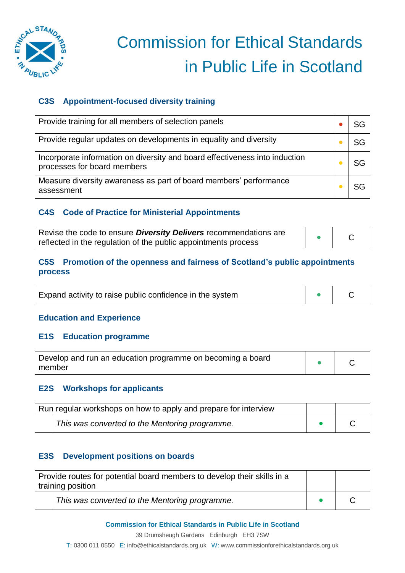

## **C3S Appointment-focused diversity training**

| Provide training for all members of selection panels                                                       |    |
|------------------------------------------------------------------------------------------------------------|----|
| Provide regular updates on developments in equality and diversity                                          | SG |
| Incorporate information on diversity and board effectiveness into induction<br>processes for board members | SG |
| Measure diversity awareness as part of board members' performance<br>assessment                            |    |

## **C4S Code of Practice for Ministerial Appointments**

| Revise the code to ensure <b>Diversity Delivers</b> recommendations are |  |
|-------------------------------------------------------------------------|--|
| reflected in the regulation of the public appointments process          |  |

## **C5S Promotion of the openness and fairness of Scotland's public appointments process**

| Expand activity to raise public confidence in the system |  |  |
|----------------------------------------------------------|--|--|
|----------------------------------------------------------|--|--|

### **Education and Experience**

### **E1S Education programme**

| Develop and run an education programme on becoming a board |  |  |
|------------------------------------------------------------|--|--|
| member                                                     |  |  |

### **E2S Workshops for applicants**

| Run regular workshops on how to apply and prepare for interview |  |
|-----------------------------------------------------------------|--|
| This was converted to the Mentoring programme.                  |  |

## **E3S Development positions on boards**

| Provide routes for potential board members to develop their skills in a<br>training position |  |
|----------------------------------------------------------------------------------------------|--|
| This was converted to the Mentoring programme.                                               |  |

### **Commission for Ethical Standards in Public Life in Scotland**

39 Drumsheugh Gardens Edinburgh EH3 7SW

T: 0300 011 0550 E: info@ethicalstandards.org.uk W: www.commissionforethicalstandards.org.uk